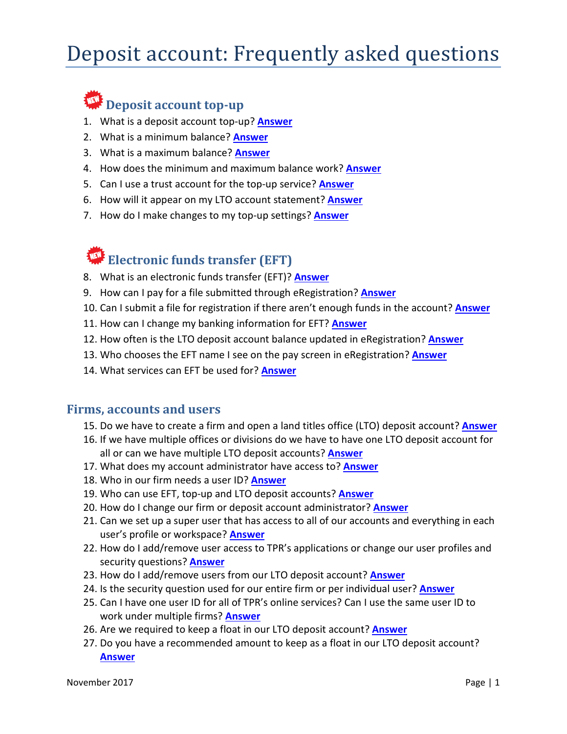# Deposit account: Frequently asked questions

# **WE** Deposit account top-up

- 1. What is a deposit account top-up? **[Answer](#page-2-0)**
- 2. What is a minimum balance? **[Answer](#page-2-1)**
- 3. What is a maximum balance? **[Answer](#page-2-2)**
- 4. How does the minimum and maximum balance work? **[Answer](#page-2-3)**
- 5. Can I use a trust account for the top-up service? **[Answer](#page-2-4)**
- 6. How will it appear on my LTO account statement? **[Answer](#page-3-0)**
- 7. How do I make changes to my top-up settings? **[Answer](#page-3-1)**

# **Electronic funds transfer (EFT)**

- 8. What is an electronic funds transfer (EFT)? **[Answer](#page-3-2)**
- 9. How can I pay for a file submitted through eRegistration? **[Answer](#page-3-3)**
- 10. Can I submit a file for registration if there aren't enough funds in the account? **[Answer](#page-3-4)**
- 11. How can I change my banking information for EFT? **[Answer](#page-3-5)**
- 12. How often is the LTO deposit account balance updated in eRegistration? **[Answer](#page-4-0)**
- 13. Who chooses the EFT name I see on the pay screen in eRegistration? **[Answer](#page-4-1)**
- 14. What services can EFT be used for? **[Answer](#page-4-2)**

# **Firms, accounts and users**

- 15. Do we have to create a firm and open a land titles office (LTO) deposit account? **[Answer](#page-4-3)**
- 16. If we have multiple offices or divisions do we have to have one LTO deposit account for all or can we have multiple LTO deposit accounts? **[Answer](#page-4-4)**
- 17. What does my account administrator have access to? **[Answer](#page-4-5)**
- 18. Who in our firm needs a user ID? **[Answer](#page-5-0)**
- 19. Who can use EFT, top-up and LTO deposit accounts? **[Answer](#page-5-1)**
- 20. How do I change our firm or deposit account administrator? **[Answer](#page-6-0)**
- 21. Can we set up a super user that has access to all of our accounts and everything in each user's profile or workspace? **[Answer](#page-6-1)**
- 22. How do I add/remove user access to TPR's applications or change our user profiles and security questions? **[Answer](#page-6-2)**
- 23. How do I add/remove users from our LTO deposit account? **[Answer](#page-6-3)**
- 24. Is the security question used for our entire firm or per individual user? **[Answer](#page-6-4)**
- 25. Can I have one user ID for all of TPR's online services? Can I use the same user ID to work under multiple firms? **[Answer](#page-6-5)**
- 26. Are we required to keep a float in our LTO deposit account? **[Answer](#page-6-6)**
- 27. Do you have a recommended amount to keep as a float in our LTO deposit account? **[Answer](#page-6-7)**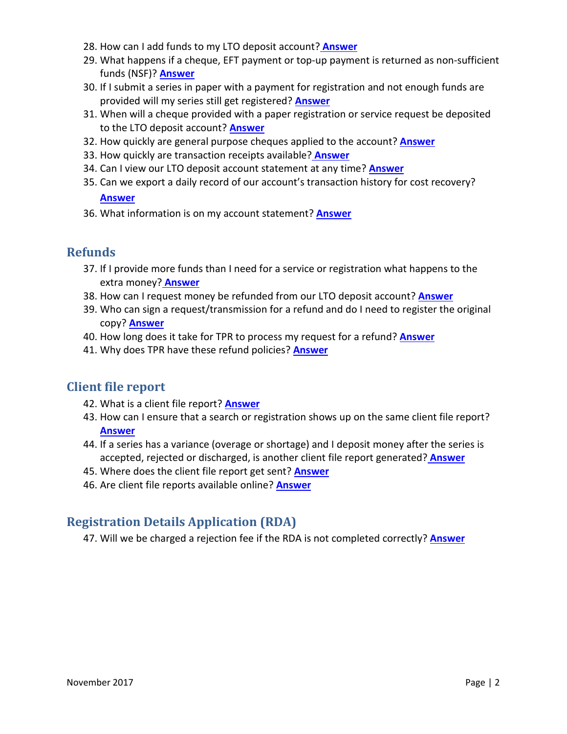- 28. How can I add funds to my LTO deposit account? **[Answer](#page-6-8)**
- 29. What happens if a cheque, EFT payment or top-up payment is returned as non-sufficient funds (NSF)? **[Answer](#page-7-0)**
- 30. If I submit a series in paper with a payment for registration and not enough funds are provided will my series still get registered? **[Answer](#page-7-1)**
- 31. When will a cheque provided with a paper registration or service request be deposited to the LTO deposit account? **[Answer](#page-7-2)**
- 32. How quickly are general purpose cheques applied to the account? **[Answer](#page-7-3)**
- 33. How quickly are transaction receipts available? **[Answer](#page-7-4)**
- 34. Can I view our LTO deposit account statement at any time? **[Answer](#page-7-5)**
- 35. Can we export a daily record of our account's transaction history for cost recovery?

### **[Answer](#page-7-6)**

36. What information is on my account statement? **[Answer](#page-8-0)**

# **Refunds**

- 37. If I provide more funds than I need for a service or registration what happens to the extra money? **[Answer](#page-8-1)**
- 38. How can I request money be refunded from our LTO deposit account? **[Answer](#page-8-2)**
- 39. Who can sign a request/transmission for a refund and do I need to register the original copy? **[Answer](#page-8-3)**
- 40. How long does it take for TPR to process my request for a refund? **[Answer](#page-8-4)**
- 41. Why does TPR have these refund policies? **[Answer](#page-9-0)**

# **Client file report**

- 42. What is a client file report? **[Answer](#page-9-1)**
- 43. How can I ensure that a search or registration shows up on the same client file report? **[Answer](#page-9-2)**
- 44. If a series has a variance (overage or shortage) and I deposit money after the series is accepted, rejected or discharged, is another client file report generated? **[Answer](#page-9-3)**
- 45. Where does the client file report get sent? **[Answer](#page-9-4)**
- 46. Are client file reports available online? **[Answer](#page-9-5)**

# **Registration Details Application (RDA)**

47. Will we be charged a rejection fee if the RDA is not completed correctly? **[Answer](#page-9-6)**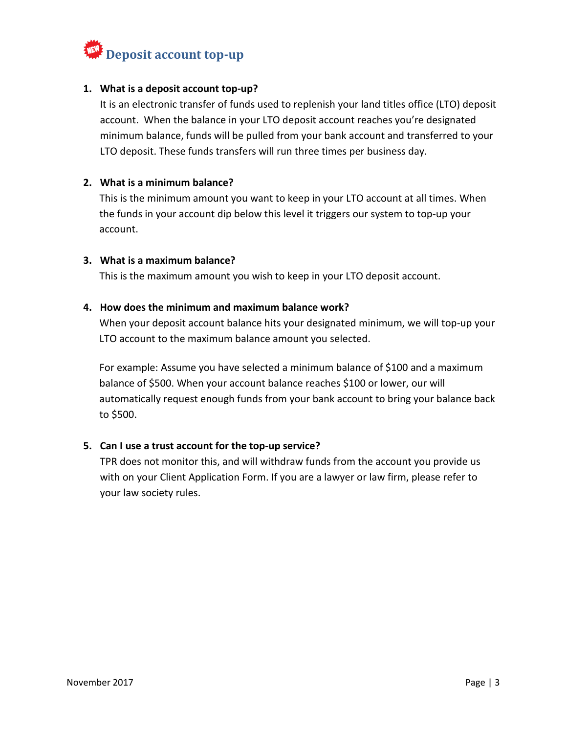

#### <span id="page-2-0"></span>**1. What is a deposit account top-up?**

It is an electronic transfer of funds used to replenish your land titles office (LTO) deposit account. When the balance in your LTO deposit account reaches you're designated minimum balance, funds will be pulled from your bank account and transferred to your LTO deposit. These funds transfers will run three times per business day.

#### <span id="page-2-1"></span>**2. What is a minimum balance?**

This is the minimum amount you want to keep in your LTO account at all times. When the funds in your account dip below this level it triggers our system to top-up your account.

#### <span id="page-2-2"></span>**3. What is a maximum balance?**

This is the maximum amount you wish to keep in your LTO deposit account.

#### <span id="page-2-3"></span>**4. How does the minimum and maximum balance work?**

When your deposit account balance hits your designated minimum, we will top-up your LTO account to the maximum balance amount you selected.

For example: Assume you have selected a minimum balance of \$100 and a maximum balance of \$500. When your account balance reaches \$100 or lower, our will automatically request enough funds from your bank account to bring your balance back to \$500.

#### <span id="page-2-4"></span>**5. Can I use a trust account for the top-up service?**

TPR does not monitor this, and will withdraw funds from the account you provide us with on your Client Application Form. If you are a lawyer or law firm, please refer to your law society rules.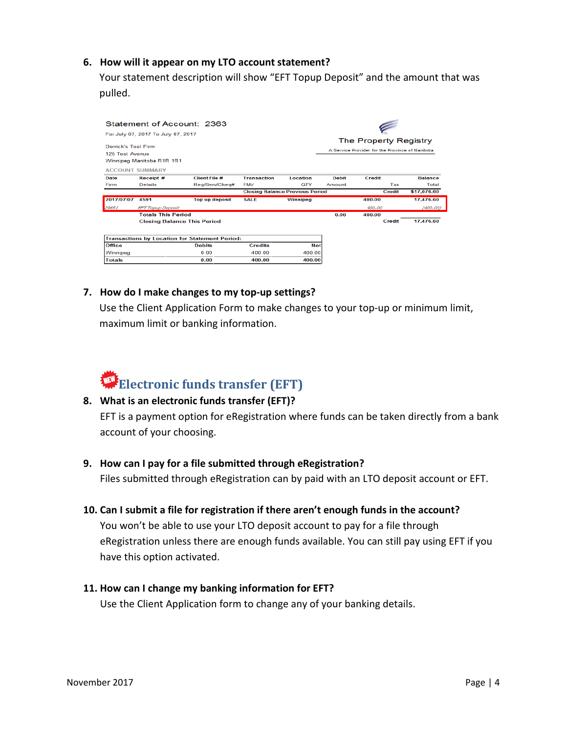#### <span id="page-3-0"></span>**6. How will it appear on my LTO account statement?**

Your statement description will show "EFT Topup Deposit" and the amount that was pulled.

| Statement of Account: 2363<br>For July 07, 2017 To July 07, 2017<br>Derrick's Test Firm |                                                       |                       |                    |            |                                                                           |               |                |
|-----------------------------------------------------------------------------------------|-------------------------------------------------------|-----------------------|--------------------|------------|---------------------------------------------------------------------------|---------------|----------------|
|                                                                                         |                                                       |                       |                    |            | The Property Registry<br>A Service Provider for the Province of Manitobal |               |                |
|                                                                                         |                                                       |                       |                    |            |                                                                           |               |                |
|                                                                                         | Winnipeg Manitoba R1R 1R1                             |                       |                    |            |                                                                           |               |                |
|                                                                                         | <b>ACCOUNT SUMMARY</b>                                |                       |                    |            |                                                                           |               |                |
| Date                                                                                    | Receipt #                                             | <b>Client File #</b>  | <b>Transaction</b> | Location   | <b>Debit</b>                                                              | <b>Credit</b> | <b>Balance</b> |
| Firm                                                                                    | <b>Details</b>                                        | Rea/Serv/Chea#        | <b>FMV</b>         | OTY        | Amount                                                                    | Tax           | Total          |
|                                                                                         | <b>Closing Balance Previous Period</b>                |                       |                    |            |                                                                           | Credit        | \$17,076.60    |
| 2017/07/07 4591                                                                         |                                                       | <b>Top up deposit</b> | <b>SALE</b>        | Winnipeg   |                                                                           | 400.00        | 17,476.60      |
| 29651                                                                                   | <b>EFT Topup Deposit</b>                              |                       |                    |            |                                                                           | 400.00        | (400.00)       |
|                                                                                         | <b>Totals This Period</b>                             |                       |                    |            | 0.00                                                                      | 400.00        |                |
|                                                                                         | <b>Closing Balance This Period</b>                    |                       |                    |            |                                                                           | Credit        | 17,476.60      |
|                                                                                         | <b>Transactions by Location for Statement Period:</b> |                       |                    |            |                                                                           |               |                |
| <b>Office</b>                                                                           |                                                       | <b>Debits</b>         | <b>Credits</b>     | <b>Net</b> |                                                                           |               |                |
| Winnipeg                                                                                |                                                       | 0.00                  | 400.00             | 400.00     |                                                                           |               |                |
| <b>Totals</b>                                                                           |                                                       | 0.00                  | 400.00             | 400.00     |                                                                           |               |                |

#### <span id="page-3-1"></span>**7. How do I make changes to my top-up settings?**

Use the Client Application Form to make changes to your top-up or minimum limit, maximum limit or banking information.

# **Electronic funds transfer (EFT)**

#### <span id="page-3-2"></span>**8. What is an electronic funds transfer (EFT)?**

EFT is a payment option for eRegistration where funds can be taken directly from a bank account of your choosing.

#### <span id="page-3-3"></span>**9. How can I pay for a file submitted through eRegistration?**

Files submitted through eRegistration can by paid with an LTO deposit account or EFT.

#### <span id="page-3-4"></span>**10. Can I submit a file for registration if there aren't enough funds in the account?**

You won't be able to use your LTO deposit account to pay for a file through eRegistration unless there are enough funds available. You can still pay using EFT if you have this option activated.

#### <span id="page-3-5"></span>**11. How can I change my banking information for EFT?**

Use the Client Application form to change any of your banking details.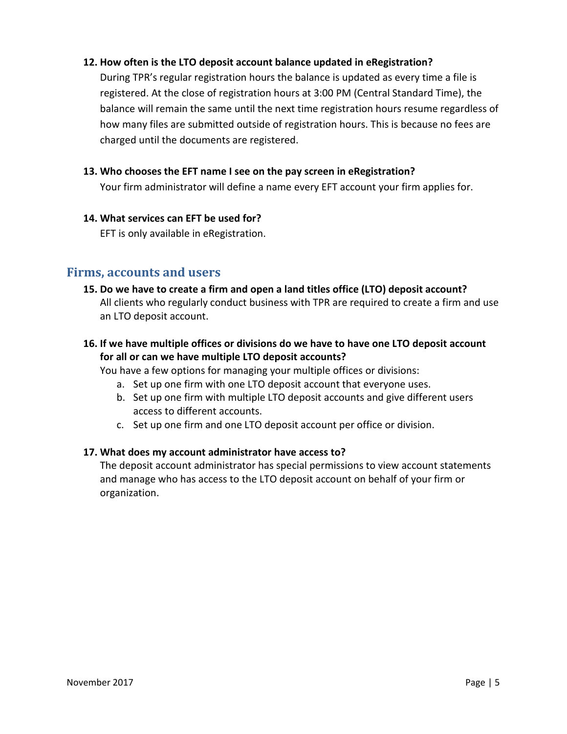### <span id="page-4-0"></span>**12. How often is the LTO deposit account balance updated in eRegistration?**

During TPR's regular registration hours the balance is updated as every time a file is registered. At the close of registration hours at 3:00 PM (Central Standard Time), the balance will remain the same until the next time registration hours resume regardless of how many files are submitted outside of registration hours. This is because no fees are charged until the documents are registered.

#### <span id="page-4-1"></span>**13. Who chooses the EFT name I see on the pay screen in eRegistration?**

Your firm administrator will define a name every EFT account your firm applies for.

#### <span id="page-4-2"></span>**14. What services can EFT be used for?**

EFT is only available in eRegistration.

## <span id="page-4-3"></span>**Firms, accounts and users**

**15. Do we have to create a firm and open a land titles office (LTO) deposit account?**  All clients who regularly conduct business with TPR are required to create a firm and use an LTO deposit account.

# <span id="page-4-4"></span>**16. If we have multiple offices or divisions do we have to have one LTO deposit account for all or can we have multiple LTO deposit accounts?**

You have a few options for managing your multiple offices or divisions:

- a. Set up one firm with one LTO deposit account that everyone uses.
- b. Set up one firm with multiple LTO deposit accounts and give different users access to different accounts.
- c. Set up one firm and one LTO deposit account per office or division.

#### <span id="page-4-5"></span>**17. What does my account administrator have access to?**

The deposit account administrator has special permissions to view account statements and manage who has access to the LTO deposit account on behalf of your firm or organization.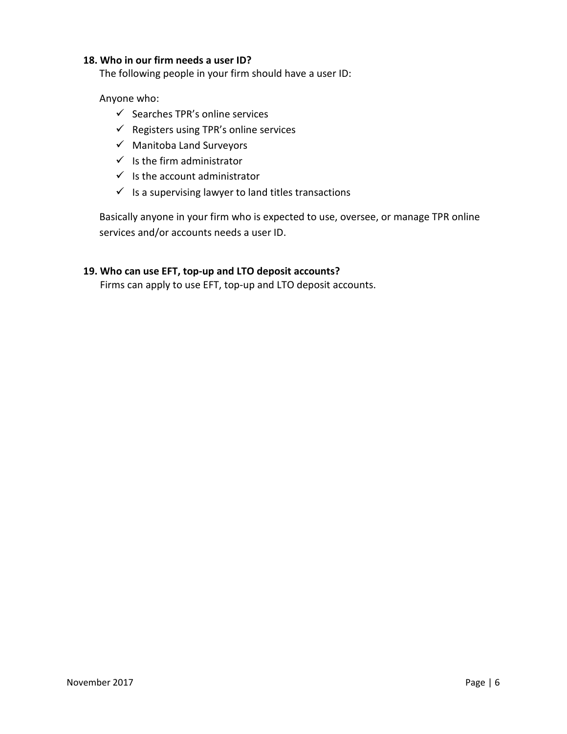#### <span id="page-5-0"></span>**18. Who in our firm needs a user ID?**

The following people in your firm should have a user ID:

#### Anyone who:

- $\checkmark$  Searches TPR's online services
- $\checkmark$  Registers using TPR's online services
- $\checkmark$  Manitoba Land Surveyors
- $\checkmark$  Is the firm administrator
- $\checkmark$  Is the account administrator
- $\checkmark$  Is a supervising lawyer to land titles transactions

Basically anyone in your firm who is expected to use, oversee, or manage TPR online services and/or accounts needs a user ID.

### <span id="page-5-1"></span>**19. Who can use EFT, top-up and LTO deposit accounts?**

Firms can apply to use EFT, top-up and LTO deposit accounts.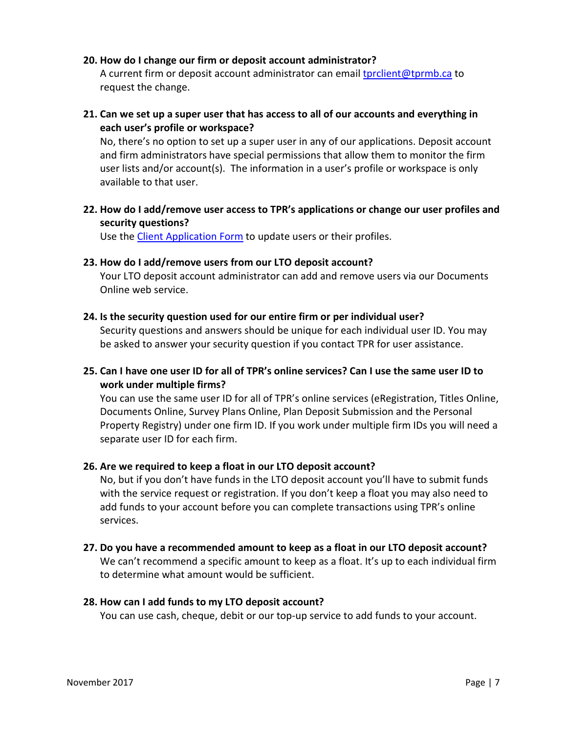#### <span id="page-6-0"></span>**20. How do I change our firm or deposit account administrator?**

A current firm or deposit account administrator can email [tprclient@tprmb.ca](mailto:tprclient@tprmb.ca) to request the change.

<span id="page-6-1"></span>**21. Can we set up a super user that has access to all of our accounts and everything in each user's profile or workspace?**

No, there's no option to set up a super user in any of our applications. Deposit account and firm administrators have special permissions that allow them to monitor the firm user lists and/or account(s). The information in a user's profile or workspace is only available to that user.

<span id="page-6-2"></span>**22. How do I add/remove user access to TPR's applications or change our user profiles and security questions?**

Use the [Client Application Form](https://www.tprmb.ca/tpr/securityforms.html) to update users or their profiles.

#### <span id="page-6-3"></span>**23. How do I add/remove users from our LTO deposit account?**

Your LTO deposit account administrator can add and remove users via our Documents Online web service.

#### <span id="page-6-4"></span>**24. Is the security question used for our entire firm or per individual user?**

Security questions and answers should be unique for each individual user ID. You may be asked to answer your security question if you contact TPR for user assistance.

<span id="page-6-5"></span>**25. Can I have one user ID for all of TPR's online services? Can I use the same user ID to work under multiple firms?**

You can use the same user ID for all of TPR's online services (eRegistration, Titles Online, Documents Online, Survey Plans Online, Plan Deposit Submission and the Personal Property Registry) under one firm ID. If you work under multiple firm IDs you will need a separate user ID for each firm.

#### <span id="page-6-6"></span>**26. Are we required to keep a float in our LTO deposit account?**

No, but if you don't have funds in the LTO deposit account you'll have to submit funds with the service request or registration. If you don't keep a float you may also need to add funds to your account before you can complete transactions using TPR's online services.

<span id="page-6-7"></span>**27. Do you have a recommended amount to keep as a float in our LTO deposit account?** 

We can't recommend a specific amount to keep as a float. It's up to each individual firm to determine what amount would be sufficient.

#### <span id="page-6-8"></span>**28. How can I add funds to my LTO deposit account?**

You can use cash, cheque, debit or our top-up service to add funds to your account.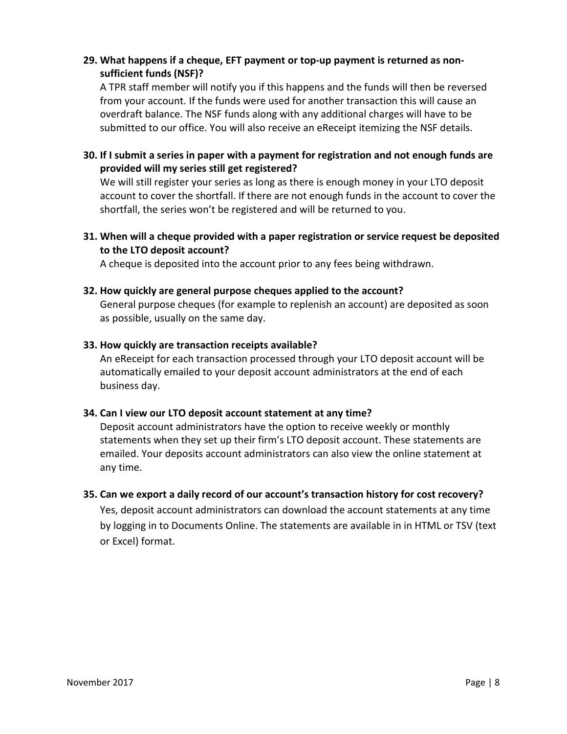## <span id="page-7-0"></span>**29. What happens if a cheque, EFT payment or top-up payment is returned as nonsufficient funds (NSF)?**

A TPR staff member will notify you if this happens and the funds will then be reversed from your account. If the funds were used for another transaction this will cause an overdraft balance. The NSF funds along with any additional charges will have to be submitted to our office. You will also receive an eReceipt itemizing the NSF details.

# <span id="page-7-1"></span>**30. If I submit a series in paper with a payment for registration and not enough funds are provided will my series still get registered?**

We will still register your series as long as there is enough money in your LTO deposit account to cover the shortfall. If there are not enough funds in the account to cover the shortfall, the series won't be registered and will be returned to you.

# <span id="page-7-2"></span>**31. When will a cheque provided with a paper registration or service request be deposited to the LTO deposit account?**

A cheque is deposited into the account prior to any fees being withdrawn.

### <span id="page-7-3"></span>**32. How quickly are general purpose cheques applied to the account?**

General purpose cheques (for example to replenish an account) are deposited as soon as possible, usually on the same day.

#### <span id="page-7-4"></span>**33. How quickly are transaction receipts available?**

An eReceipt for each transaction processed through your LTO deposit account will be automatically emailed to your deposit account administrators at the end of each business day.

#### <span id="page-7-5"></span>**34. Can I view our LTO deposit account statement at any time?**

Deposit account administrators have the option to receive weekly or monthly statements when they set up their firm's LTO deposit account. These statements are emailed. Your deposits account administrators can also view the online statement at any time.

## <span id="page-7-6"></span>**35. Can we export a daily record of our account's transaction history for cost recovery?**

Yes, deposit account administrators can download the account statements at any time by logging in to Documents Online. The statements are available in in HTML or TSV (text or Excel) format.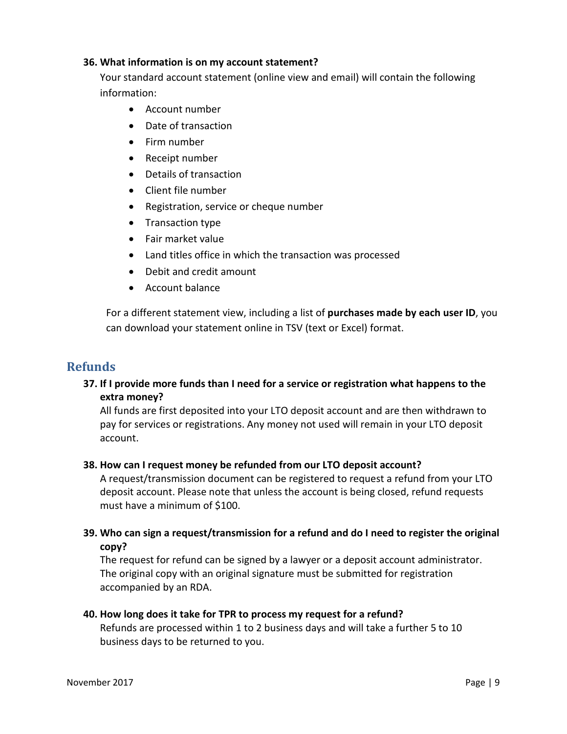#### <span id="page-8-0"></span>**36. What information is on my account statement?**

Your standard account statement (online view and email) will contain the following information:

- Account number
- Date of transaction
- Firm number
- Receipt number
- Details of transaction
- Client file number
- Registration, service or cheque number
- Transaction type
- Fair market value
- Land titles office in which the transaction was processed
- Debit and credit amount
- Account balance

For a different statement view, including a list of **purchases made by each user ID**, you can download your statement online in TSV (text or Excel) format.

# <span id="page-8-1"></span>**Refunds**

**37. If I provide more funds than I need for a service or registration what happens to the extra money?** 

All funds are first deposited into your LTO deposit account and are then withdrawn to pay for services or registrations. Any money not used will remain in your LTO deposit account.

#### <span id="page-8-2"></span>**38. How can I request money be refunded from our LTO deposit account?**

A request/transmission document can be registered to request a refund from your LTO deposit account. Please note that unless the account is being closed, refund requests must have a minimum of \$100.

<span id="page-8-3"></span>**39. Who can sign a request/transmission for a refund and do I need to register the original copy?**

The request for refund can be signed by a lawyer or a deposit account administrator. The original copy with an original signature must be submitted for registration accompanied by an RDA.

#### <span id="page-8-4"></span>**40. How long does it take for TPR to process my request for a refund?**

Refunds are processed within 1 to 2 business days and will take a further 5 to 10 business days to be returned to you.